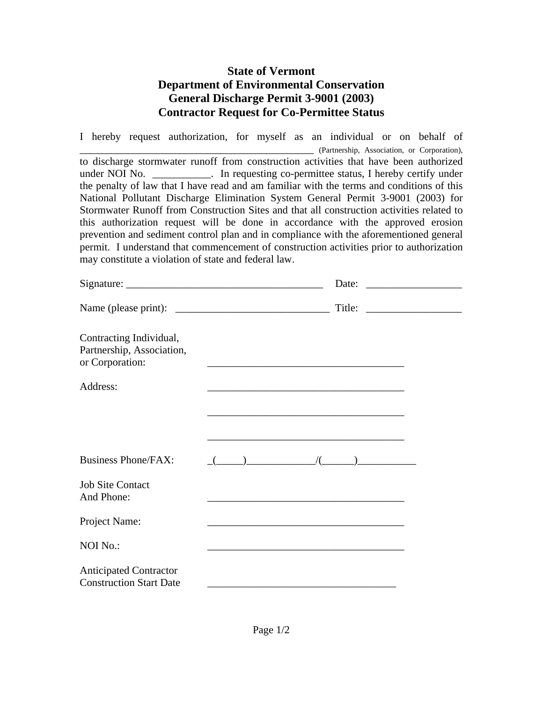## **State of Vermont Department of Environmental Conservation General Discharge Permit 3-9001 (2003) Contractor Request for Co-Permittee Status**

I hereby request authorization, for myself as an individual or on behalf of \_\_\_\_\_\_\_\_\_\_\_\_\_\_\_\_\_\_\_\_\_\_\_\_\_\_\_\_\_\_\_\_\_\_\_\_\_\_\_\_\_\_\_\_ (Partnership, Association, or Corporation), to discharge stormwater runoff from construction activities that have been authorized under NOI No. \_\_\_\_\_\_\_\_\_\_\_. In requesting co-permittee status, I hereby certify under the penalty of law that I have read and am familiar with the terms and conditions of this National Pollutant Discharge Elimination System General Permit 3-9001 (2003) for Stormwater Runoff from Construction Sites and that all construction activities related to this authorization request will be done in accordance with the approved erosion prevention and sediment control plan and in compliance with the aforementioned general permit. I understand that commencement of construction activities prior to authorization may constitute a violation of state and federal law.

|                                                                         | Date:                                                                                                                                                                                                                                                                                                                                                                                                                                                     | <u> 1989 - Jan Barbara Barbara, masjid a shekara 1980 - André San Barbara Barbara a Shekara Indonesia.</u> |
|-------------------------------------------------------------------------|-----------------------------------------------------------------------------------------------------------------------------------------------------------------------------------------------------------------------------------------------------------------------------------------------------------------------------------------------------------------------------------------------------------------------------------------------------------|------------------------------------------------------------------------------------------------------------|
|                                                                         | Title: $\qquad \qquad$                                                                                                                                                                                                                                                                                                                                                                                                                                    |                                                                                                            |
| Contracting Individual,<br>Partnership, Association,<br>or Corporation: |                                                                                                                                                                                                                                                                                                                                                                                                                                                           |                                                                                                            |
| Address:                                                                | <u> 1980 - Johann Barn, amerikan besteman besteman besteman besteman besteman besteman besteman besteman bestema</u>                                                                                                                                                                                                                                                                                                                                      |                                                                                                            |
|                                                                         |                                                                                                                                                                                                                                                                                                                                                                                                                                                           |                                                                                                            |
| <b>Business Phone/FAX:</b>                                              | $\underbrace{(1,2,3,4)}\underbrace{(1,3,4)}\underbrace{(1,3,4)}\underbrace{(1,3,4)}\underbrace{(1,3,4)}\underbrace{(1,3,4)}\underbrace{(1,3,4)}\underbrace{(1,3,4)}\underbrace{(1,3,4)}\underbrace{(1,3,4)}\underbrace{(1,3,4)}\underbrace{(1,3,4)}\underbrace{(1,3,4)}\underbrace{(1,3,4)}\underbrace{(1,3,4)}\underbrace{(1,3,4)}\underbrace{(1,3,4)}\underbrace{(1,3,4)}\underbrace{(1,3,4)}\underbrace{(1,3,4)}\underbrace{(1,3,4)}\underbrace{(1,3,$ |                                                                                                            |
| <b>Job Site Contact</b><br>And Phone:                                   |                                                                                                                                                                                                                                                                                                                                                                                                                                                           |                                                                                                            |
| Project Name:                                                           | <u> 1989 - Johann Barbara, marka a shekara tsa 1989 - An tsa 1989 - An tsa 1989 - An tsa 1989 - An tsa 1989 - An</u>                                                                                                                                                                                                                                                                                                                                      |                                                                                                            |
| <b>NOI No.:</b>                                                         | the control of the control of the control of the control of the control of the control of                                                                                                                                                                                                                                                                                                                                                                 |                                                                                                            |
| <b>Anticipated Contractor</b><br><b>Construction Start Date</b>         |                                                                                                                                                                                                                                                                                                                                                                                                                                                           |                                                                                                            |